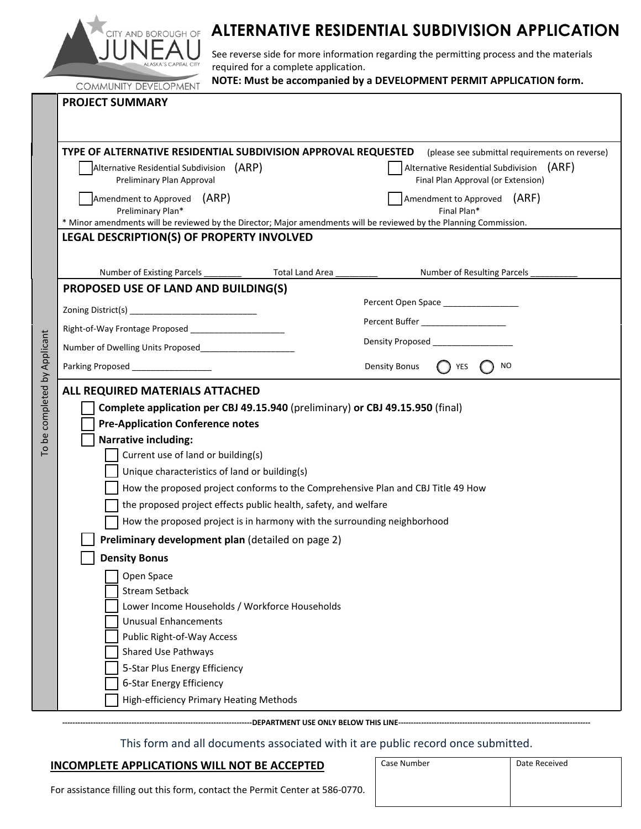

# **ALTERNATIVE RESIDENTIAL SUBDIVISION APPLICATION**

See reverse side for more information regarding the permitting process and the materials required for a complete application.

To be completed by Applicant

To be completed by Applicant

| <b>COMMUNITY DEVELOPMENT</b>                                                                                       | NOTE: Must be accompanied by a DEVELOPMENT PERMIT APPLICATION form.                |
|--------------------------------------------------------------------------------------------------------------------|------------------------------------------------------------------------------------|
| <b>PROJECT SUMMARY</b>                                                                                             |                                                                                    |
|                                                                                                                    |                                                                                    |
|                                                                                                                    |                                                                                    |
| TYPE OF ALTERNATIVE RESIDENTIAL SUBDIVISION APPROVAL REQUESTED                                                     | (please see submittal requirements on reverse)                                     |
| Alternative Residential Subdivision (ARP)<br>Preliminary Plan Approval                                             | Alternative Residential Subdivision<br>(ARF)<br>Final Plan Approval (or Extension) |
|                                                                                                                    |                                                                                    |
| Amendment to Approved (ARP)<br>Preliminary Plan*                                                                   | Amendment to Approved (ARF)<br>Final Plan*                                         |
| * Minor amendments will be reviewed by the Director; Major amendments will be reviewed by the Planning Commission. |                                                                                    |
| LEGAL DESCRIPTION(S) OF PROPERTY INVOLVED                                                                          |                                                                                    |
|                                                                                                                    |                                                                                    |
| Number of Existing Parcels ________<br>Total Land Area                                                             | Number of Resulting Parcels                                                        |
| <b>PROPOSED USE OF LAND AND BUILDING(S)</b>                                                                        | Percent Open Space _________________                                               |
|                                                                                                                    |                                                                                    |
| Right-of-Way Frontage Proposed _______________________                                                             | Percent Buffer ___________________                                                 |
| Number of Dwelling Units Proposed___________________                                                               | Density Proposed __________________                                                |
| Parking Proposed _________________                                                                                 | NO<br>Density Bonus<br>YES                                                         |
| ALL REQUIRED MATERIALS ATTACHED                                                                                    |                                                                                    |
| Complete application per CBJ 49.15.940 (preliminary) or CBJ 49.15.950 (final)                                      |                                                                                    |
| <b>Pre-Application Conference notes</b>                                                                            |                                                                                    |
| <b>Narrative including:</b>                                                                                        |                                                                                    |
| Current use of land or building(s)                                                                                 |                                                                                    |
| Unique characteristics of land or building(s)                                                                      |                                                                                    |
| How the proposed project conforms to the Comprehensive Plan and CBJ Title 49 How                                   |                                                                                    |
| the proposed project effects public health, safety, and welfare                                                    |                                                                                    |
| How the proposed project is in harmony with the surrounding neighborhood                                           |                                                                                    |
| Preliminary development plan (detailed on page 2)                                                                  |                                                                                    |
| <b>Density Bonus</b>                                                                                               |                                                                                    |
| Open Space                                                                                                         |                                                                                    |
| <b>Stream Setback</b>                                                                                              |                                                                                    |
| Lower Income Households / Workforce Households                                                                     |                                                                                    |
| <b>Unusual Enhancements</b>                                                                                        |                                                                                    |
| Public Right-of-Way Access                                                                                         |                                                                                    |
| <b>Shared Use Pathways</b>                                                                                         |                                                                                    |
| 5-Star Plus Energy Efficiency                                                                                      |                                                                                    |
| 6-Star Energy Efficiency                                                                                           |                                                                                    |
| High-efficiency Primary Heating Methods                                                                            |                                                                                    |
|                                                                                                                    |                                                                                    |

#### ---- DEPARTMENT USE ONLY BELOW THIS LINE--------------

## This form and all documents associated with it are public record once submitted.

### **INCOMPLETE APPLICATIONS WILL NOT BE ACCEPTED**

|    | Case Number | Date Received |  |
|----|-------------|---------------|--|
| 0. |             |               |  |

For assistance filling out this form, contact the Permit Center at 586‐0770.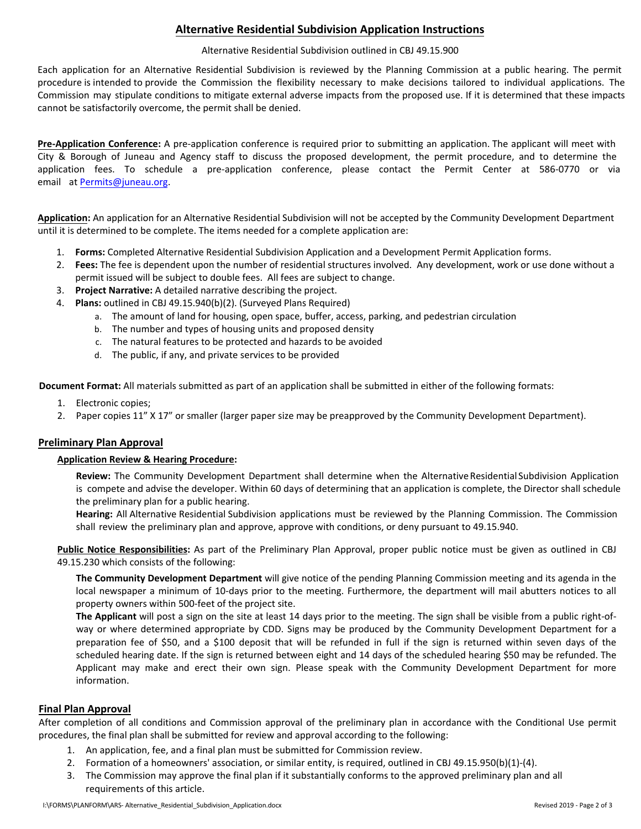## **Alternative Residential Subdivision Application Instructions**

#### Alternative Residential Subdivision outlined in CBJ 49.15.900

Each application for an Alternative Residential Subdivision is reviewed by the Planning Commission at a public hearing. The permit procedure is intended to provide the Commission the flexibility necessary to make decisions tailored to individual applications. The Commission may stipulate conditions to mitigate external adverse impacts from the proposed use. If it is determined that these impacts cannot be satisfactorily overcome, the permit shall be denied.

**Pre‐Application Conference:** A pre‐application conference is required prior to submitting an application. The applicant will meet with City & Borough of Juneau and Agency staff to discuss the proposed development, the permit procedure, and to determine the application fees. To schedule a pre‐application conference, please contact the Permit Center at 586‐0770 or via email at Permits@juneau.org.

**Application:** An application for an Alternative Residential Subdivision will not be accepted by the Community Development Department until it is determined to be complete. The items needed for a complete application are:

- 1. **Forms:** Completed Alternative Residential Subdivision Application and a Development Permit Application forms.
- 2. **Fees:** The fee is dependent upon the number of residential structures involved. Any development, work or use done without a permit issued will be subject to double fees. All fees are subject to change.
- 3. **Project Narrative:** A detailed narrative describing the project.
- 4. **Plans:** outlined in CBJ 49.15.940(b)(2). (Surveyed Plans Required)
	- a. The amount of land for housing, open space, buffer, access, parking, and pedestrian circulation
	- b. The number and types of housing units and proposed density
	- c. The natural features to be protected and hazards to be avoided
	- d. The public, if any, and private services to be provided

**Document Format:** All materials submitted as part of an application shall be submitted in either of the following formats:

- 1. Electronic copies;
- 2. Paper copies 11" X 17" or smaller (larger paper size may be preapproved by the Community Development Department).

## **Preliminary Plan Approval**

#### **Application Review & Hearing Procedure:**

**Review:** The Community Development Department shall determine when the Alternative Residential Subdivision Application is compete and advise the developer. Within 60 days of determining that an application is complete, the Director shall schedule the preliminary plan for a public hearing.

**Hearing:** All Alternative Residential Subdivision applications must be reviewed by the Planning Commission. The Commission shall review the preliminary plan and approve, approve with conditions, or deny pursuant to 49.15.940.

**Public Notice Responsibilities:** As part of the Preliminary Plan Approval, proper public notice must be given as outlined in CBJ 49.15.230 which consists of the following:

**The Community Development Department** will give notice of the pending Planning Commission meeting and its agenda in the local newspaper a minimum of 10‐days prior to the meeting. Furthermore, the department will mail abutters notices to all property owners within 500‐feet of the project site.

**The Applicant** will post a sign on the site at least 14 days prior to the meeting. The sign shall be visible from a public right‐of‐ way or where determined appropriate by CDD. Signs may be produced by the Community Development Department for a preparation fee of \$50, and a \$100 deposit that will be refunded in full if the sign is returned within seven days of the scheduled hearing date. If the sign is returned between eight and 14 days of the scheduled hearing \$50 may be refunded. The Applicant may make and erect their own sign. Please speak with the Community Development Department for more information.

#### **Final Plan Approval**

After completion of all conditions and Commission approval of the preliminary plan in accordance with the Conditional Use permit procedures, the final plan shall be submitted for review and approval according to the following:

- 1. An application, fee, and a final plan must be submitted for Commission review.
- 2. Formation of a homeowners' association, or similar entity, is required, outlined in CBJ 49.15.950(b)(1)-(4).
- 3. The Commission may approve the final plan if it substantially conforms to the approved preliminary plan and all requirements of this article.